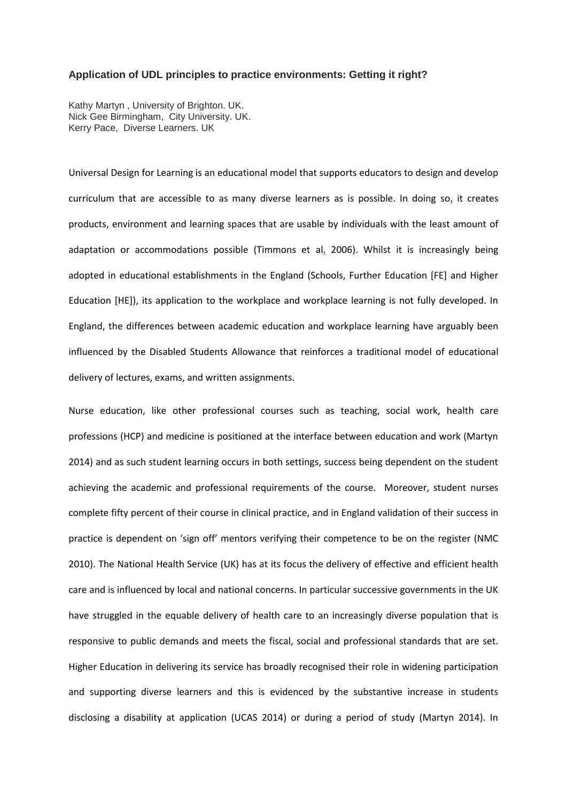#### **Application of UDL principles to practice environments: Getting it right?**

Kathy Martyn , University of Brighton. UK. Nick Gee Birmingham, City University. UK. Kerry Pace, Diverse Learners. UK

Universal Design for Learning is an educational model that supports educators to design and develop curriculum that are accessible to as many diverse learners as is possible. In doing so, it creates products, environment and learning spaces that are usable by individuals with the least amount of adaptation or accommodations possible (Timmons et al. 2006). Whilst it is increasingly being adopted in educational establishments in the England (Schools, Further Education [FE] and Higher Education [HE]), its application to the workplace and workplace learning is not fully developed. In England, the differences between academic education and workplace learning have arguably been influenced by the Disabled Students Allowance that reinforces a traditional model of educational delivery of lectures, exams, and written assignments.

Nurse education, like other professional courses such as teaching, social work, health care professions (HCP) and medicine is positioned at the interface between education and work (Martyn 2014) and as such student learning occurs in both settings, success being dependent on the student achieving the academic and professional requirements of the course. Moreover, student nurses complete fifty percent of their course in clinical practice, and in England validation of their success in practice is dependent on 'sign off' mentors verifying their competence to be on the register (NMC 2010). The National Health Service (UK) has at its focus the delivery of effective and efficient health care and is influenced by local and national concerns. In particular successive governments in the UK have struggled in the equable delivery of health care to an increasingly diverse population that is responsive to public demands and meets the fiscal, social and professional standards that are set. Higher Education in delivering its service has broadly recognised their role in widening participation and supporting diverse learners and this is evidenced by the substantive increase in students disclosing a disability at application (UCAS 2014) or during a period of study (Martyn 2014). In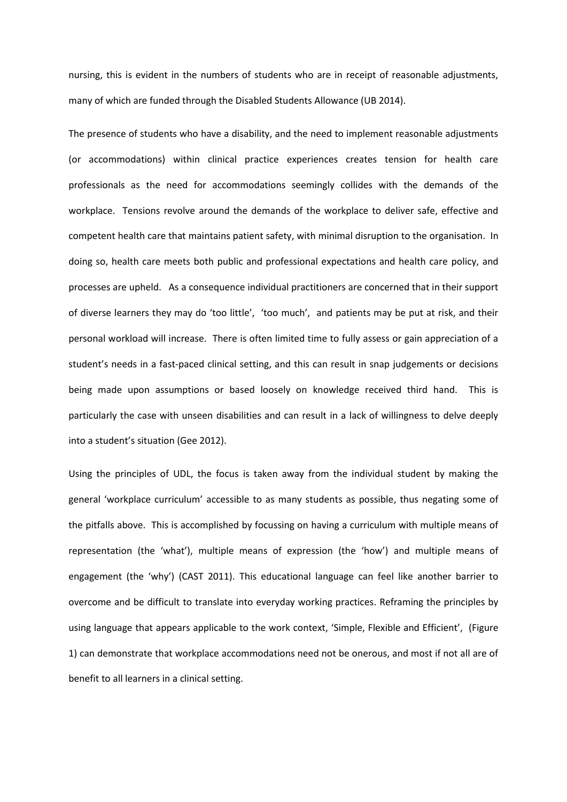nursing, this is evident in the numbers of students who are in receipt of reasonable adjustments, many of which are funded through the Disabled Students Allowance (UB 2014).

The presence of students who have a disability, and the need to implement reasonable adjustments (or accommodations) within clinical practice experiences creates tension for health care professionals as the need for accommodations seemingly collides with the demands of the workplace. Tensions revolve around the demands of the workplace to deliver safe, effective and competent health care that maintains patient safety, with minimal disruption to the organisation. In doing so, health care meets both public and professional expectations and health care policy, and processes are upheld. As a consequence individual practitioners are concerned that in their support of diverse learners they may do 'too little', 'too much', and patients may be put at risk, and their personal workload will increase. There is often limited time to fully assess or gain appreciation of a student's needs in a fast-paced clinical setting, and this can result in snap judgements or decisions being made upon assumptions or based loosely on knowledge received third hand. This is particularly the case with unseen disabilities and can result in a lack of willingness to delve deeply into a student's situation (Gee 2012).

Using the principles of UDL, the focus is taken away from the individual student by making the general 'workplace curriculum' accessible to as many students as possible, thus negating some of the pitfalls above. This is accomplished by focussing on having a curriculum with multiple means of representation (the 'what'), multiple means of expression (the 'how') and multiple means of engagement (the 'why') (CAST 2011). This educational language can feel like another barrier to overcome and be difficult to translate into everyday working practices. Reframing the principles by using language that appears applicable to the work context, 'Simple, Flexible and Efficient', (Figure 1) can demonstrate that workplace accommodations need not be onerous, and most if not all are of benefit to all learners in a clinical setting.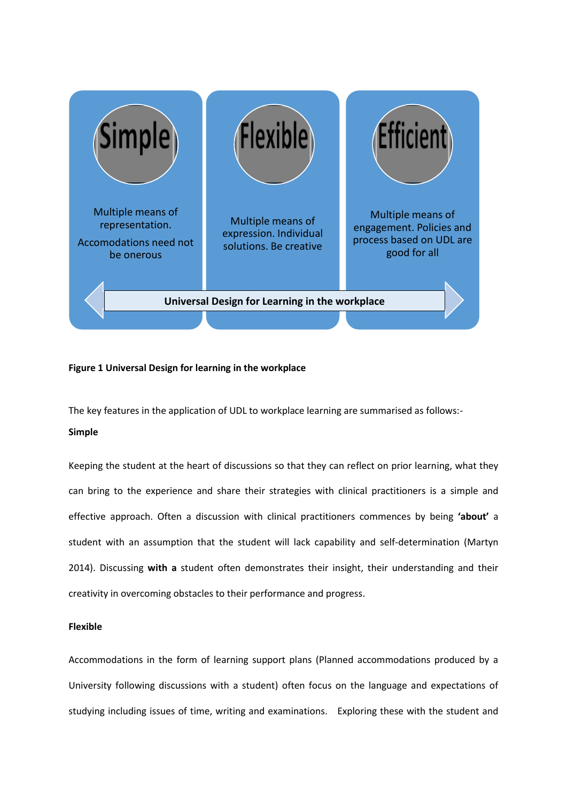

# **Figure 1 Universal Design for learning in the workplace**

The key features in the application of UDL to workplace learning are summarised as follows:-

## **Simple**

Keeping the student at the heart of discussions so that they can reflect on prior learning, what they can bring to the experience and share their strategies with clinical practitioners is a simple and effective approach. Often a discussion with clinical practitioners commences by being **'about'** a student with an assumption that the student will lack capability and self-determination (Martyn 2014). Discussing **with a** student often demonstrates their insight, their understanding and their creativity in overcoming obstacles to their performance and progress.

## **Flexible**

Accommodations in the form of learning support plans (Planned accommodations produced by a University following discussions with a student) often focus on the language and expectations of studying including issues of time, writing and examinations. Exploring these with the student and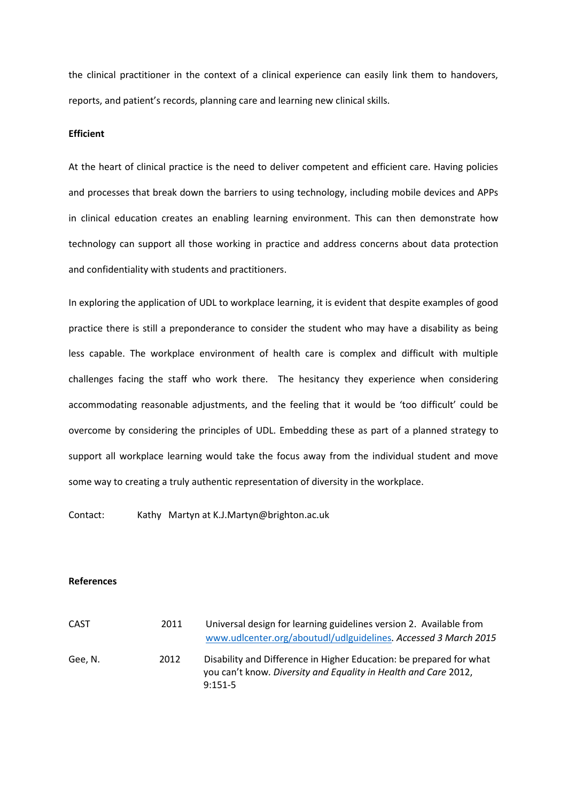the clinical practitioner in the context of a clinical experience can easily link them to handovers, reports, and patient's records, planning care and learning new clinical skills.

#### **Efficient**

At the heart of clinical practice is the need to deliver competent and efficient care. Having policies and processes that break down the barriers to using technology, including mobile devices and APPs in clinical education creates an enabling learning environment. This can then demonstrate how technology can support all those working in practice and address concerns about data protection and confidentiality with students and practitioners.

In exploring the application of UDL to workplace learning, it is evident that despite examples of good practice there is still a preponderance to consider the student who may have a disability as being less capable. The workplace environment of health care is complex and difficult with multiple challenges facing the staff who work there. The hesitancy they experience when considering accommodating reasonable adjustments, and the feeling that it would be 'too difficult' could be overcome by considering the principles of UDL. Embedding these as part of a planned strategy to support all workplace learning would take the focus away from the individual student and move some way to creating a truly authentic representation of diversity in the workplace.

Contact: Kathy Martyn at K.J.Martyn@brighton.ac.uk

### **References**

| CAST    | 2011 | Universal design for learning guidelines version 2. Available from<br>www.udlcenter.org/aboutudl/udlguidelines. Accessed 3 March 2015               |
|---------|------|-----------------------------------------------------------------------------------------------------------------------------------------------------|
| Gee, N. | 2012 | Disability and Difference in Higher Education: be prepared for what<br>you can't know. Diversity and Equality in Health and Care 2012,<br>$9:151-5$ |